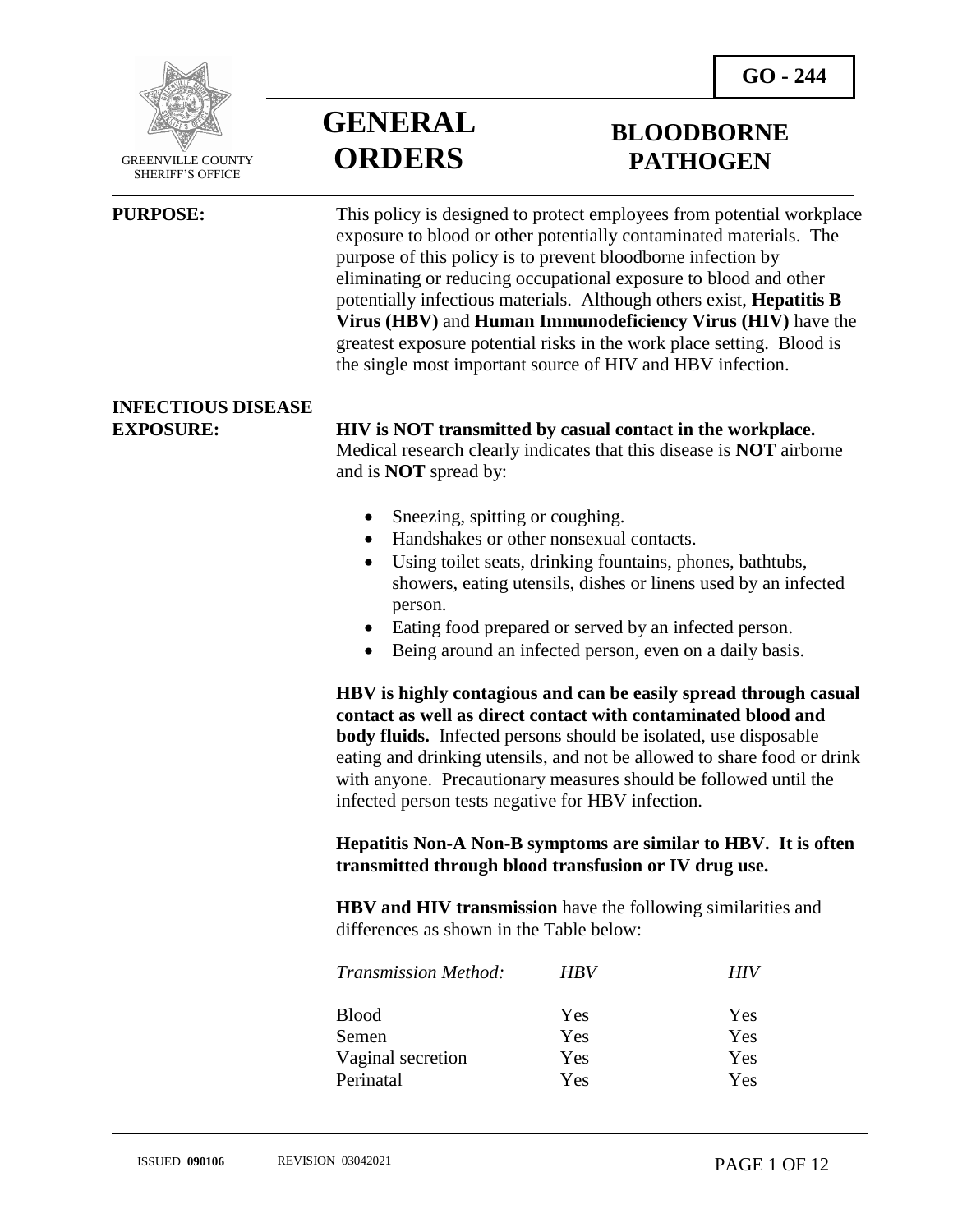

 GREENVILLE COUNTY SHERIFF'S OFFICE

 $\overline{a}$ 

**GENERAL ORDERS**

## **BLOODBORNE PATHOGEN**

**PURPOSE:** This policy is designed to protect employees from potential workplace exposure to blood or other potentially contaminated materials. The purpose of this policy is to prevent bloodborne infection by eliminating or reducing occupational exposure to blood and other potentially infectious materials. Although others exist, **Hepatitis B Virus (HBV)** and **Human Immunodeficiency Virus (HIV)** have the greatest exposure potential risks in the work place setting. Blood is the single most important source of HIV and HBV infection.

## **INFECTIOUS DISEASE**

### **EXPOSURE: HIV is NOT transmitted by casual contact in the workplace.**

Medical research clearly indicates that this disease is **NOT** airborne and is **NOT** spread by:

- Sneezing, spitting or coughing.
- Handshakes or other nonsexual contacts.
- Using toilet seats, drinking fountains, phones, bathtubs, showers, eating utensils, dishes or linens used by an infected person.
- Eating food prepared or served by an infected person.
- Being around an infected person, even on a daily basis.

**HBV is highly contagious and can be easily spread through casual contact as well as direct contact with contaminated blood and body fluids.** Infected persons should be isolated, use disposable eating and drinking utensils, and not be allowed to share food or drink with anyone. Precautionary measures should be followed until the infected person tests negative for HBV infection.

**Hepatitis Non-A Non-B symptoms are similar to HBV. It is often transmitted through blood transfusion or IV drug use.**

**HBV and HIV transmission** have the following similarities and differences as shown in the Table below:

| <b>Transmission Method:</b> | <b>HBV</b> | HIV |
|-----------------------------|------------|-----|
| <b>Blood</b>                | Yes        | Yes |
| Semen                       | Yes        | Yes |
| Vaginal secretion           | Yes        | Yes |
| Perinatal                   | Yes        | Yes |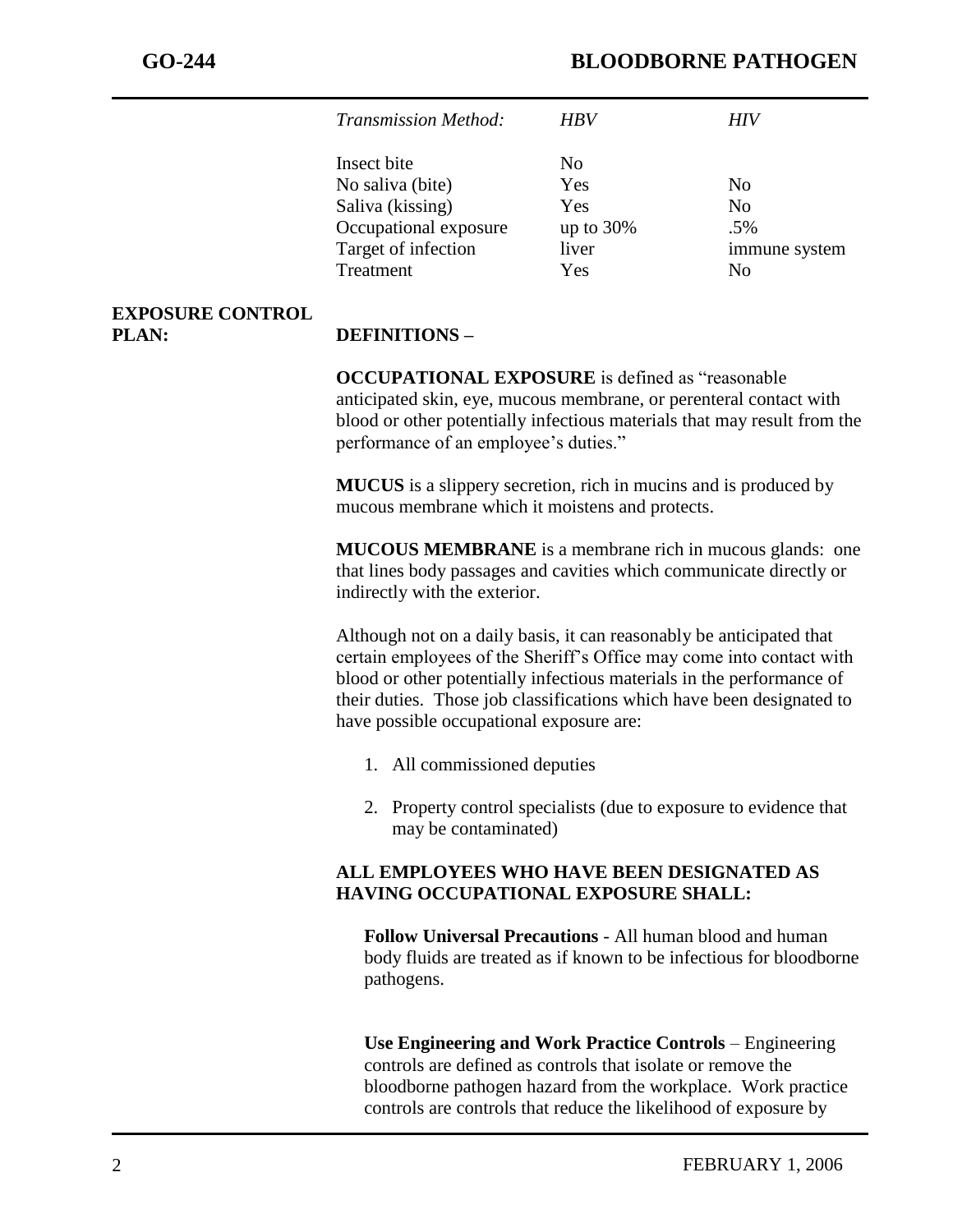| <b>Transmission Method:</b> | HRV          | HIV           |
|-----------------------------|--------------|---------------|
| Insect bite                 | No.          |               |
| No saliva (bite)            | Yes          | No.           |
| Saliva (kissing)            | Yes          | No.           |
| Occupational exposure       | up to $30\%$ | .5%           |
| Target of infection         | liver        | immune system |
| Treatment                   | Yes          | Nο            |

#### **EXPOSURE CONTROL PLAN: DEFINITIONS –**

**OCCUPATIONAL EXPOSURE** is defined as "reasonable anticipated skin, eye, mucous membrane, or perenteral contact with blood or other potentially infectious materials that may result from the performance of an employee's duties."

**MUCUS** is a slippery secretion, rich in mucins and is produced by mucous membrane which it moistens and protects.

**MUCOUS MEMBRANE** is a membrane rich in mucous glands: one that lines body passages and cavities which communicate directly or indirectly with the exterior.

Although not on a daily basis, it can reasonably be anticipated that certain employees of the Sheriff's Office may come into contact with blood or other potentially infectious materials in the performance of their duties. Those job classifications which have been designated to have possible occupational exposure are:

- 1. All commissioned deputies
- 2. Property control specialists (due to exposure to evidence that may be contaminated)

## **ALL EMPLOYEES WHO HAVE BEEN DESIGNATED AS HAVING OCCUPATIONAL EXPOSURE SHALL:**

**Follow Universal Precautions** - All human blood and human body fluids are treated as if known to be infectious for bloodborne pathogens.

**Use Engineering and Work Practice Controls** – Engineering controls are defined as controls that isolate or remove the bloodborne pathogen hazard from the workplace. Work practice controls are controls that reduce the likelihood of exposure by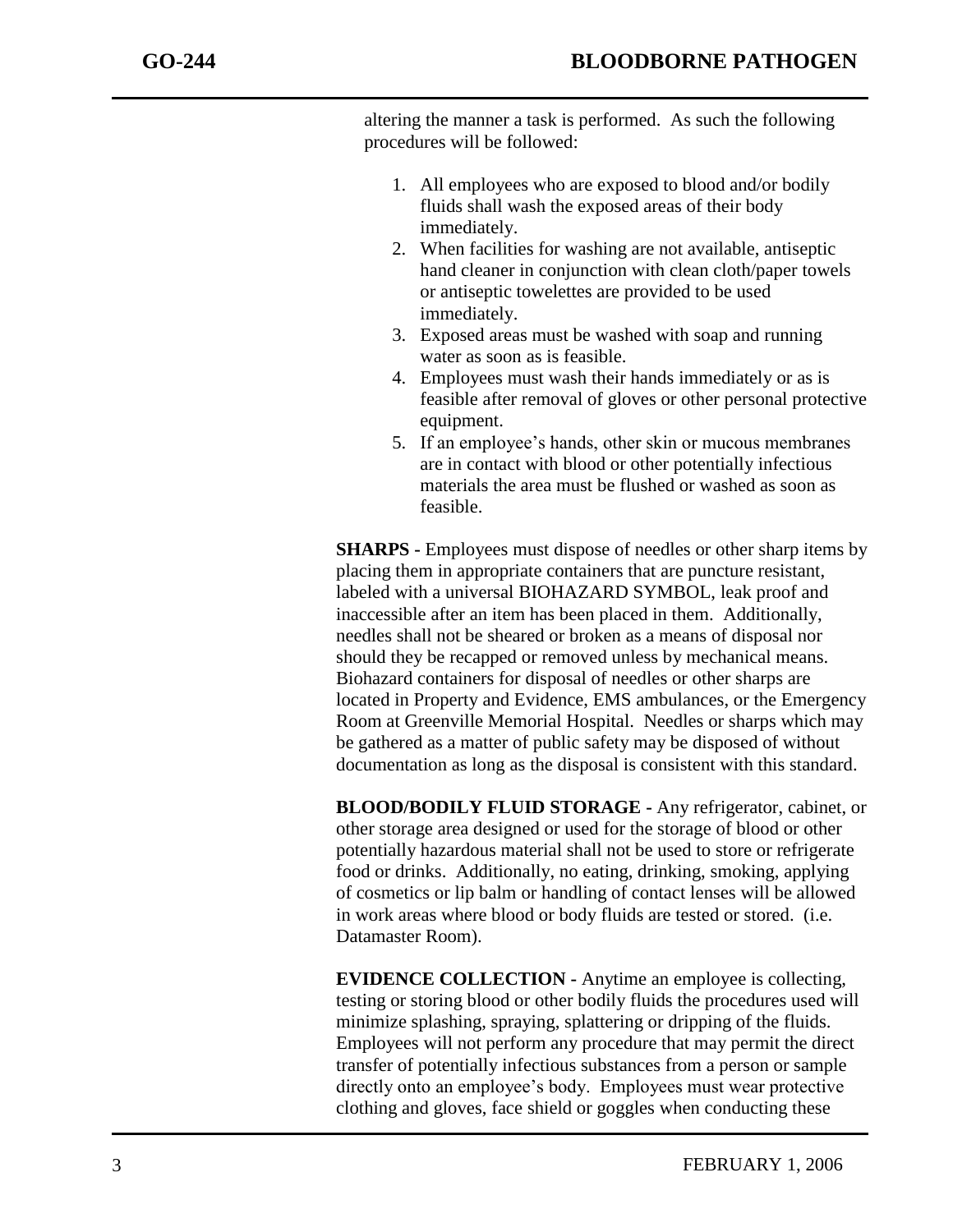altering the manner a task is performed. As such the following procedures will be followed:

- 1. All employees who are exposed to blood and/or bodily fluids shall wash the exposed areas of their body immediately.
- 2. When facilities for washing are not available, antiseptic hand cleaner in conjunction with clean cloth/paper towels or antiseptic towelettes are provided to be used immediately.
- 3. Exposed areas must be washed with soap and running water as soon as is feasible.
- 4. Employees must wash their hands immediately or as is feasible after removal of gloves or other personal protective equipment.
- 5. If an employee's hands, other skin or mucous membranes are in contact with blood or other potentially infectious materials the area must be flushed or washed as soon as feasible.

**SHARPS -** Employees must dispose of needles or other sharp items by placing them in appropriate containers that are puncture resistant, labeled with a universal BIOHAZARD SYMBOL, leak proof and inaccessible after an item has been placed in them. Additionally, needles shall not be sheared or broken as a means of disposal nor should they be recapped or removed unless by mechanical means. Biohazard containers for disposal of needles or other sharps are located in Property and Evidence, EMS ambulances, or the Emergency Room at Greenville Memorial Hospital. Needles or sharps which may be gathered as a matter of public safety may be disposed of without documentation as long as the disposal is consistent with this standard.

**BLOOD/BODILY FLUID STORAGE -** Any refrigerator, cabinet, or other storage area designed or used for the storage of blood or other potentially hazardous material shall not be used to store or refrigerate food or drinks. Additionally, no eating, drinking, smoking, applying of cosmetics or lip balm or handling of contact lenses will be allowed in work areas where blood or body fluids are tested or stored. (i.e. Datamaster Room).

**EVIDENCE COLLECTION -** Anytime an employee is collecting, testing or storing blood or other bodily fluids the procedures used will minimize splashing, spraying, splattering or dripping of the fluids. Employees will not perform any procedure that may permit the direct transfer of potentially infectious substances from a person or sample directly onto an employee's body. Employees must wear protective clothing and gloves, face shield or goggles when conducting these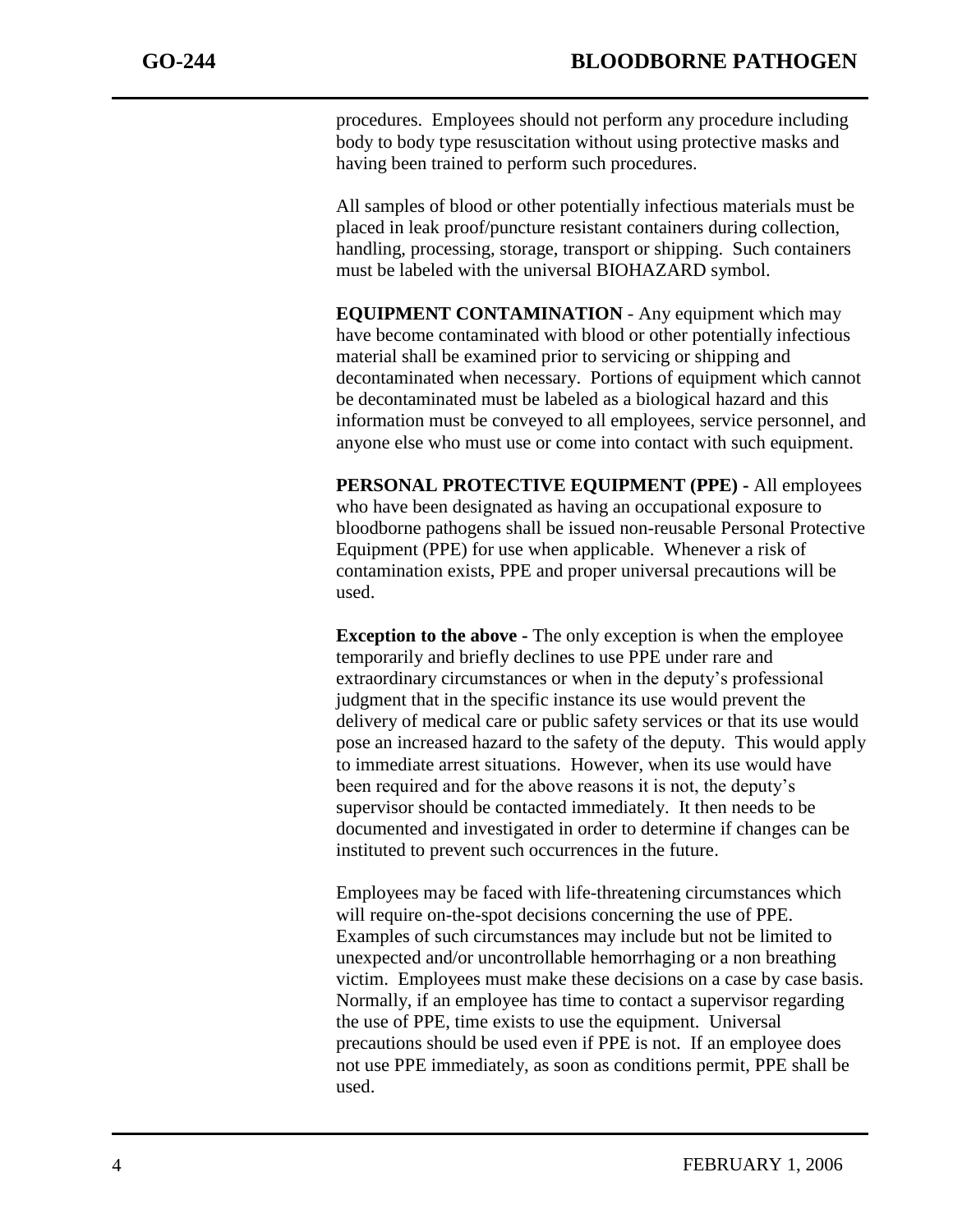procedures. Employees should not perform any procedure including body to body type resuscitation without using protective masks and having been trained to perform such procedures.

All samples of blood or other potentially infectious materials must be placed in leak proof/puncture resistant containers during collection, handling, processing, storage, transport or shipping. Such containers must be labeled with the universal BIOHAZARD symbol.

**EQUIPMENT CONTAMINATION** - Any equipment which may have become contaminated with blood or other potentially infectious material shall be examined prior to servicing or shipping and decontaminated when necessary. Portions of equipment which cannot be decontaminated must be labeled as a biological hazard and this information must be conveyed to all employees, service personnel, and anyone else who must use or come into contact with such equipment.

**PERSONAL PROTECTIVE EQUIPMENT (PPE) -** All employees who have been designated as having an occupational exposure to bloodborne pathogens shall be issued non-reusable Personal Protective Equipment (PPE) for use when applicable. Whenever a risk of contamination exists, PPE and proper universal precautions will be used.

**Exception to the above -** The only exception is when the employee temporarily and briefly declines to use PPE under rare and extraordinary circumstances or when in the deputy's professional judgment that in the specific instance its use would prevent the delivery of medical care or public safety services or that its use would pose an increased hazard to the safety of the deputy. This would apply to immediate arrest situations. However, when its use would have been required and for the above reasons it is not, the deputy's supervisor should be contacted immediately. It then needs to be documented and investigated in order to determine if changes can be instituted to prevent such occurrences in the future.

Employees may be faced with life-threatening circumstances which will require on-the-spot decisions concerning the use of PPE. Examples of such circumstances may include but not be limited to unexpected and/or uncontrollable hemorrhaging or a non breathing victim. Employees must make these decisions on a case by case basis. Normally, if an employee has time to contact a supervisor regarding the use of PPE, time exists to use the equipment. Universal precautions should be used even if PPE is not. If an employee does not use PPE immediately, as soon as conditions permit, PPE shall be used.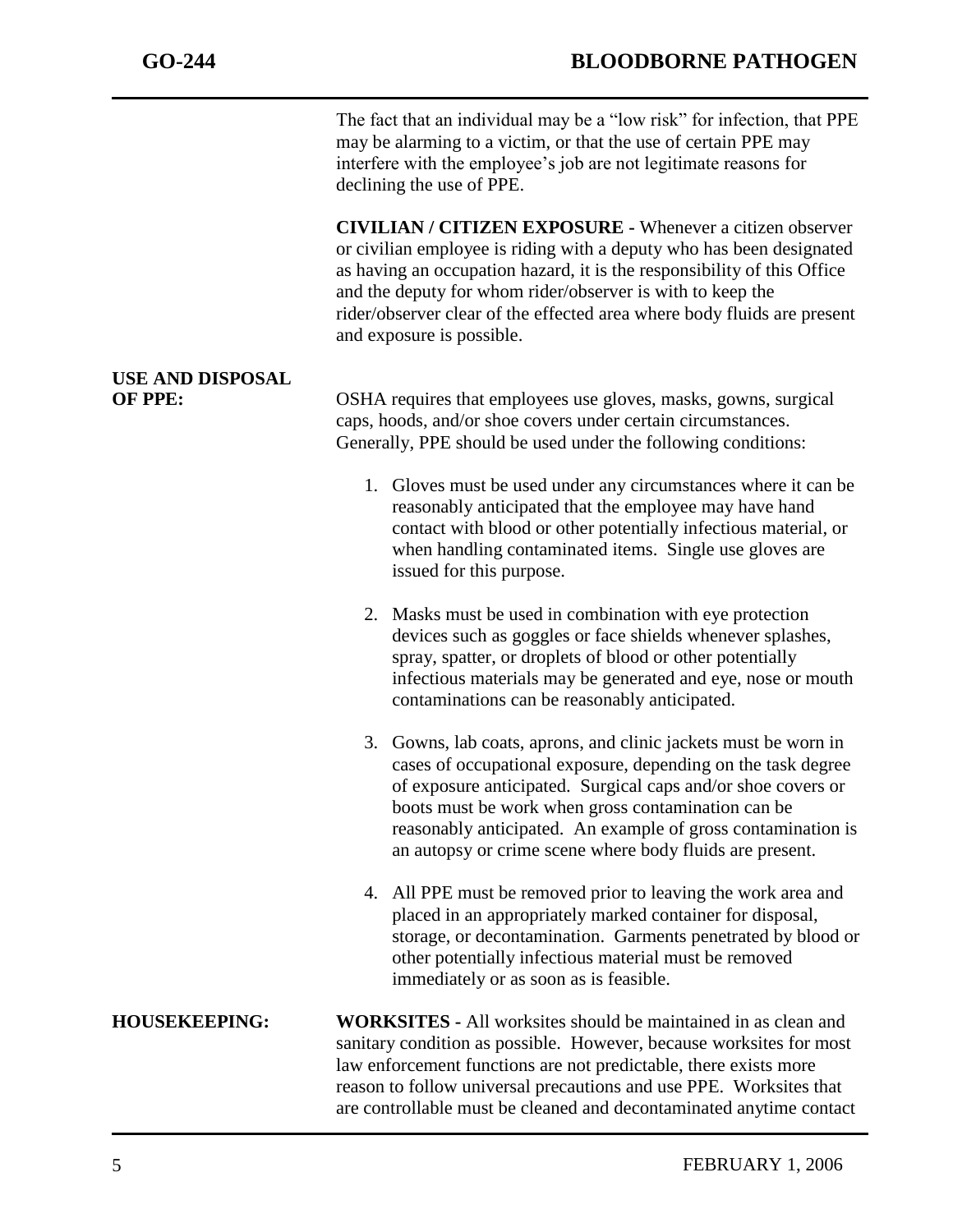The fact that an individual may be a "low risk" for infection, that PPE may be alarming to a victim, or that the use of certain PPE may interfere with the employee's job are not legitimate reasons for declining the use of PPE.

**CIVILIAN / CITIZEN EXPOSURE -** Whenever a citizen observer or civilian employee is riding with a deputy who has been designated as having an occupation hazard, it is the responsibility of this Office and the deputy for whom rider/observer is with to keep the rider/observer clear of the effected area where body fluids are present and exposure is possible.

## **USE AND DISPOSAL**

**OF PPE:** OSHA requires that employees use gloves, masks, gowns, surgical caps, hoods, and/or shoe covers under certain circumstances. Generally, PPE should be used under the following conditions:

- 1. Gloves must be used under any circumstances where it can be reasonably anticipated that the employee may have hand contact with blood or other potentially infectious material, or when handling contaminated items. Single use gloves are issued for this purpose.
- 2. Masks must be used in combination with eye protection devices such as goggles or face shields whenever splashes, spray, spatter, or droplets of blood or other potentially infectious materials may be generated and eye, nose or mouth contaminations can be reasonably anticipated.
- 3. Gowns, lab coats, aprons, and clinic jackets must be worn in cases of occupational exposure, depending on the task degree of exposure anticipated. Surgical caps and/or shoe covers or boots must be work when gross contamination can be reasonably anticipated. An example of gross contamination is an autopsy or crime scene where body fluids are present.
- 4. All PPE must be removed prior to leaving the work area and placed in an appropriately marked container for disposal, storage, or decontamination. Garments penetrated by blood or other potentially infectious material must be removed immediately or as soon as is feasible.

**HOUSEKEEPING: WORKSITES -** All worksites should be maintained in as clean and sanitary condition as possible. However, because worksites for most law enforcement functions are not predictable, there exists more reason to follow universal precautions and use PPE. Worksites that are controllable must be cleaned and decontaminated anytime contact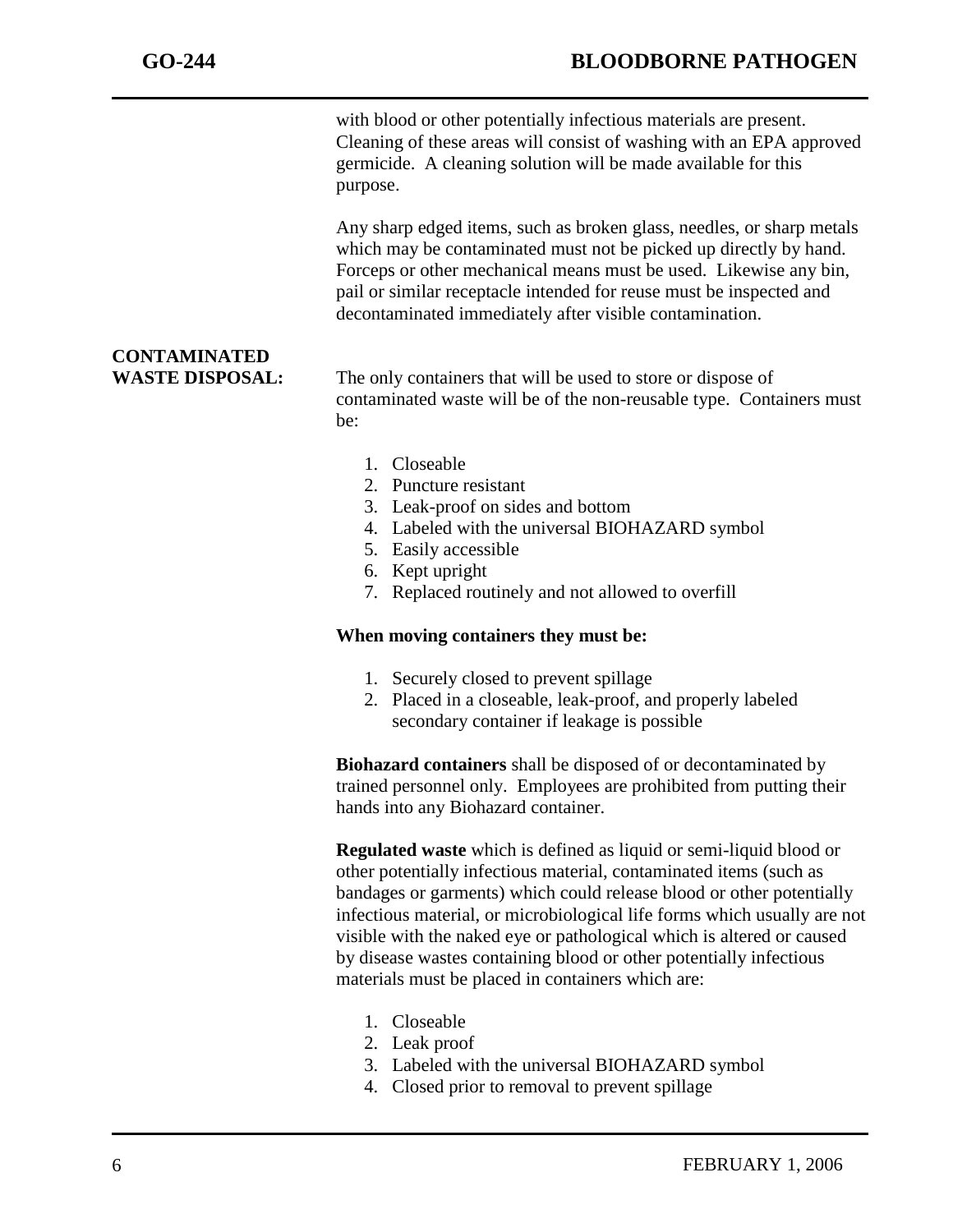with blood or other potentially infectious materials are present. Cleaning of these areas will consist of washing with an EPA approved germicide. A cleaning solution will be made available for this purpose.

Any sharp edged items, such as broken glass, needles, or sharp metals which may be contaminated must not be picked up directly by hand. Forceps or other mechanical means must be used. Likewise any bin, pail or similar receptacle intended for reuse must be inspected and decontaminated immediately after visible contamination.

# **CONTAMINATED**

**WASTE DISPOSAL:** The only containers that will be used to store or dispose of contaminated waste will be of the non-reusable type. Containers must be:

- 1. Closeable
- 2. Puncture resistant
- 3. Leak-proof on sides and bottom
- 4. Labeled with the universal BIOHAZARD symbol
- 5. Easily accessible
- 6. Kept upright
- 7. Replaced routinely and not allowed to overfill

### **When moving containers they must be:**

- 1. Securely closed to prevent spillage
- 2. Placed in a closeable, leak-proof, and properly labeled secondary container if leakage is possible

**Biohazard containers** shall be disposed of or decontaminated by trained personnel only. Employees are prohibited from putting their hands into any Biohazard container.

**Regulated waste** which is defined as liquid or semi-liquid blood or other potentially infectious material, contaminated items (such as bandages or garments) which could release blood or other potentially infectious material, or microbiological life forms which usually are not visible with the naked eye or pathological which is altered or caused by disease wastes containing blood or other potentially infectious materials must be placed in containers which are:

- 1. Closeable
- 2. Leak proof
- 3. Labeled with the universal BIOHAZARD symbol
- 4. Closed prior to removal to prevent spillage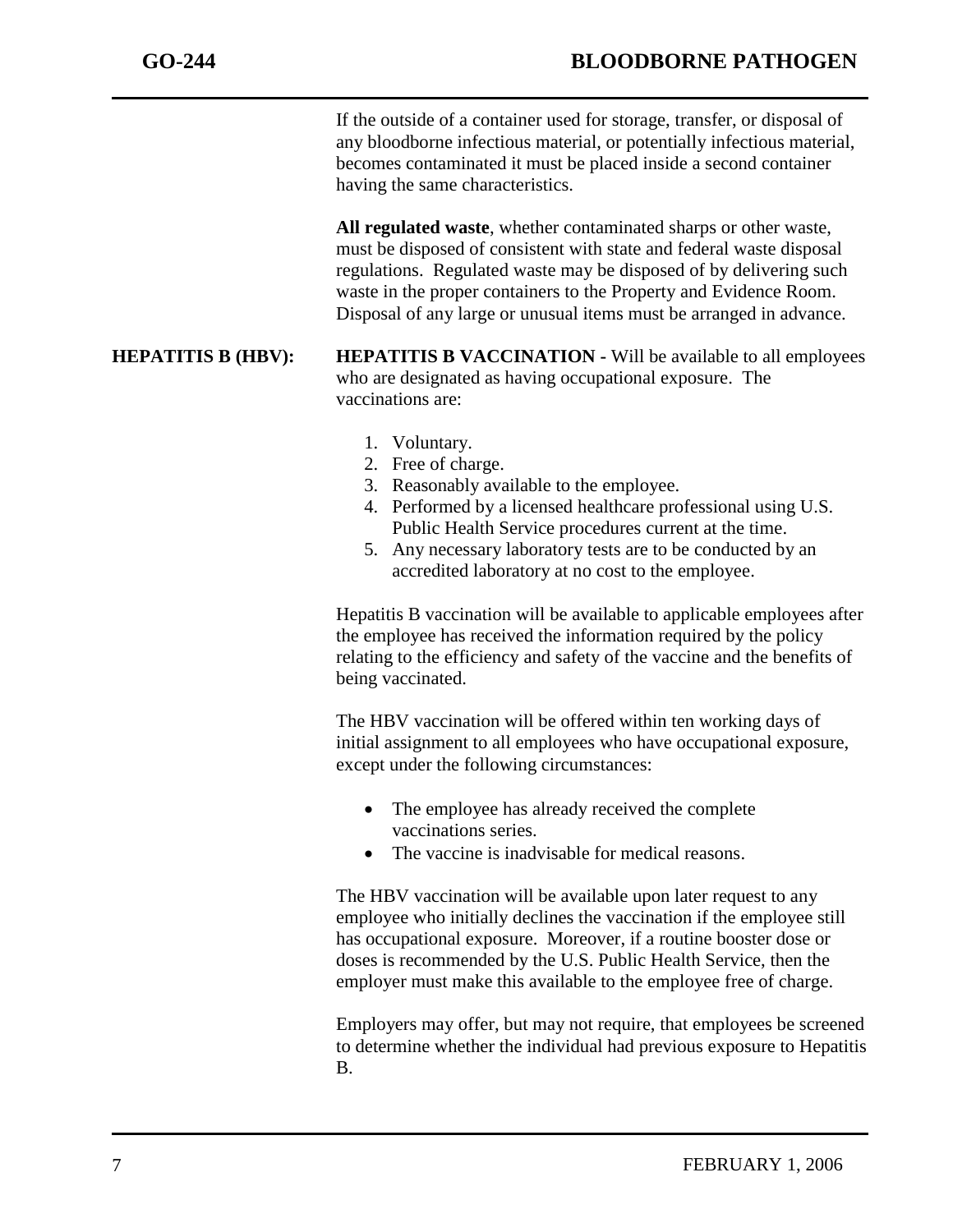If the outside of a container used for storage, transfer, or disposal of any bloodborne infectious material, or potentially infectious material, becomes contaminated it must be placed inside a second container having the same characteristics.

**All regulated waste**, whether contaminated sharps or other waste, must be disposed of consistent with state and federal waste disposal regulations. Regulated waste may be disposed of by delivering such waste in the proper containers to the Property and Evidence Room. Disposal of any large or unusual items must be arranged in advance.

### **HEPATITIS B (HBV): HEPATITIS B VACCINATION -** Will be available to all employees who are designated as having occupational exposure. The vaccinations are:

- 1. Voluntary.
- 2. Free of charge.
- 3. Reasonably available to the employee.
- 4. Performed by a licensed healthcare professional using U.S. Public Health Service procedures current at the time.
- 5. Any necessary laboratory tests are to be conducted by an accredited laboratory at no cost to the employee.

Hepatitis B vaccination will be available to applicable employees after the employee has received the information required by the policy relating to the efficiency and safety of the vaccine and the benefits of being vaccinated.

The HBV vaccination will be offered within ten working days of initial assignment to all employees who have occupational exposure, except under the following circumstances:

- The employee has already received the complete vaccinations series.
- The vaccine is inadvisable for medical reasons.

The HBV vaccination will be available upon later request to any employee who initially declines the vaccination if the employee still has occupational exposure. Moreover, if a routine booster dose or doses is recommended by the U.S. Public Health Service, then the employer must make this available to the employee free of charge.

Employers may offer, but may not require, that employees be screened to determine whether the individual had previous exposure to Hepatitis B.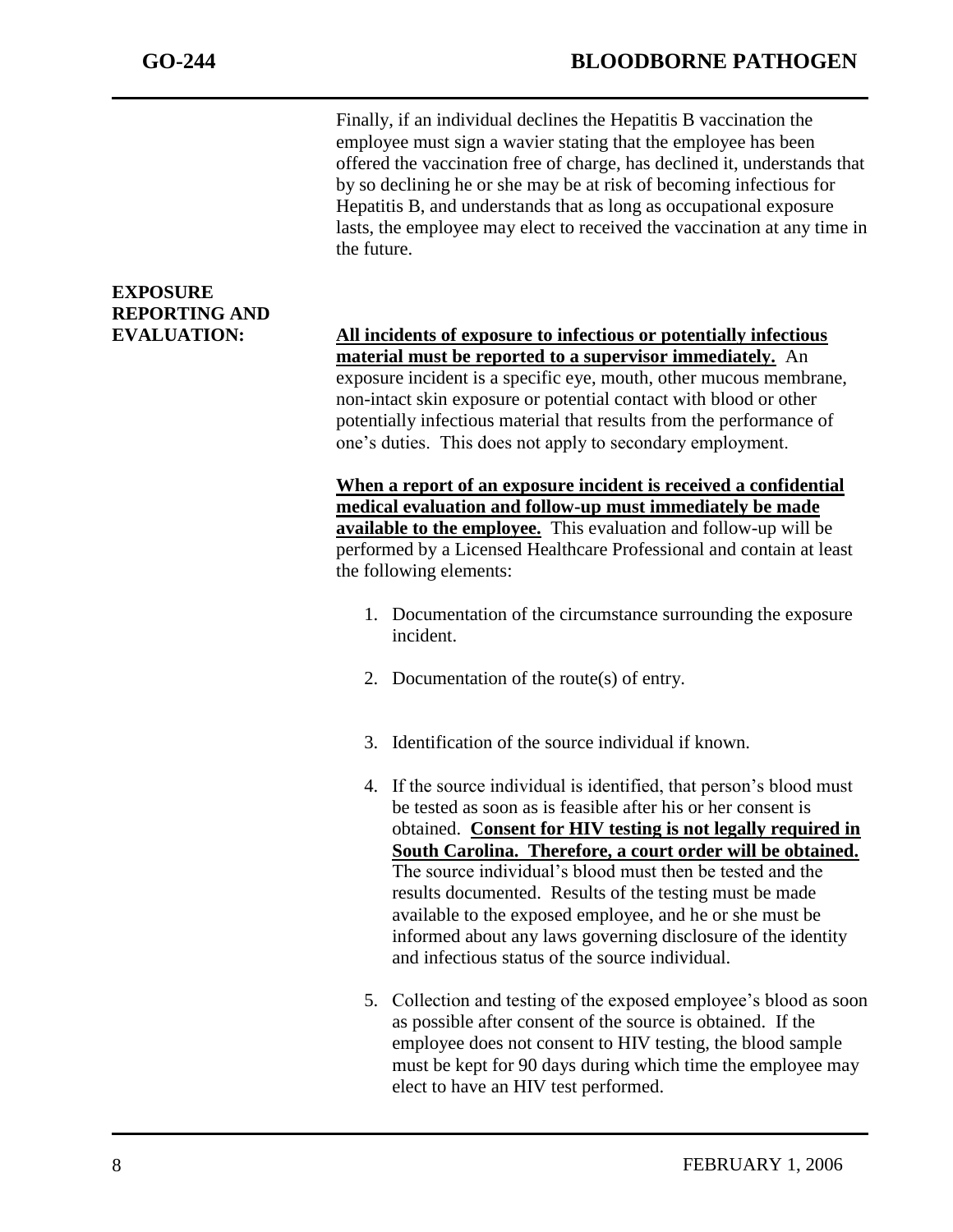Finally, if an individual declines the Hepatitis B vaccination the employee must sign a wavier stating that the employee has been offered the vaccination free of charge, has declined it, understands that by so declining he or she may be at risk of becoming infectious for Hepatitis B, and understands that as long as occupational exposure lasts, the employee may elect to received the vaccination at any time in the future.

## **EXPOSURE REPORTING AND**

**EVALUATION: All incidents of exposure to infectious or potentially infectious material must be reported to a supervisor immediately.** An exposure incident is a specific eye, mouth, other mucous membrane, non-intact skin exposure or potential contact with blood or other potentially infectious material that results from the performance of one's duties. This does not apply to secondary employment.

> **When a report of an exposure incident is received a confidential medical evaluation and follow-up must immediately be made available to the employee.** This evaluation and follow-up will be performed by a Licensed Healthcare Professional and contain at least the following elements:

- 1. Documentation of the circumstance surrounding the exposure incident.
- 2. Documentation of the route(s) of entry.
- 3. Identification of the source individual if known.
- 4. If the source individual is identified, that person's blood must be tested as soon as is feasible after his or her consent is obtained. **Consent for HIV testing is not legally required in South Carolina. Therefore, a court order will be obtained.** The source individual's blood must then be tested and the results documented. Results of the testing must be made available to the exposed employee, and he or she must be informed about any laws governing disclosure of the identity and infectious status of the source individual.
- 5. Collection and testing of the exposed employee's blood as soon as possible after consent of the source is obtained. If the employee does not consent to HIV testing, the blood sample must be kept for 90 days during which time the employee may elect to have an HIV test performed.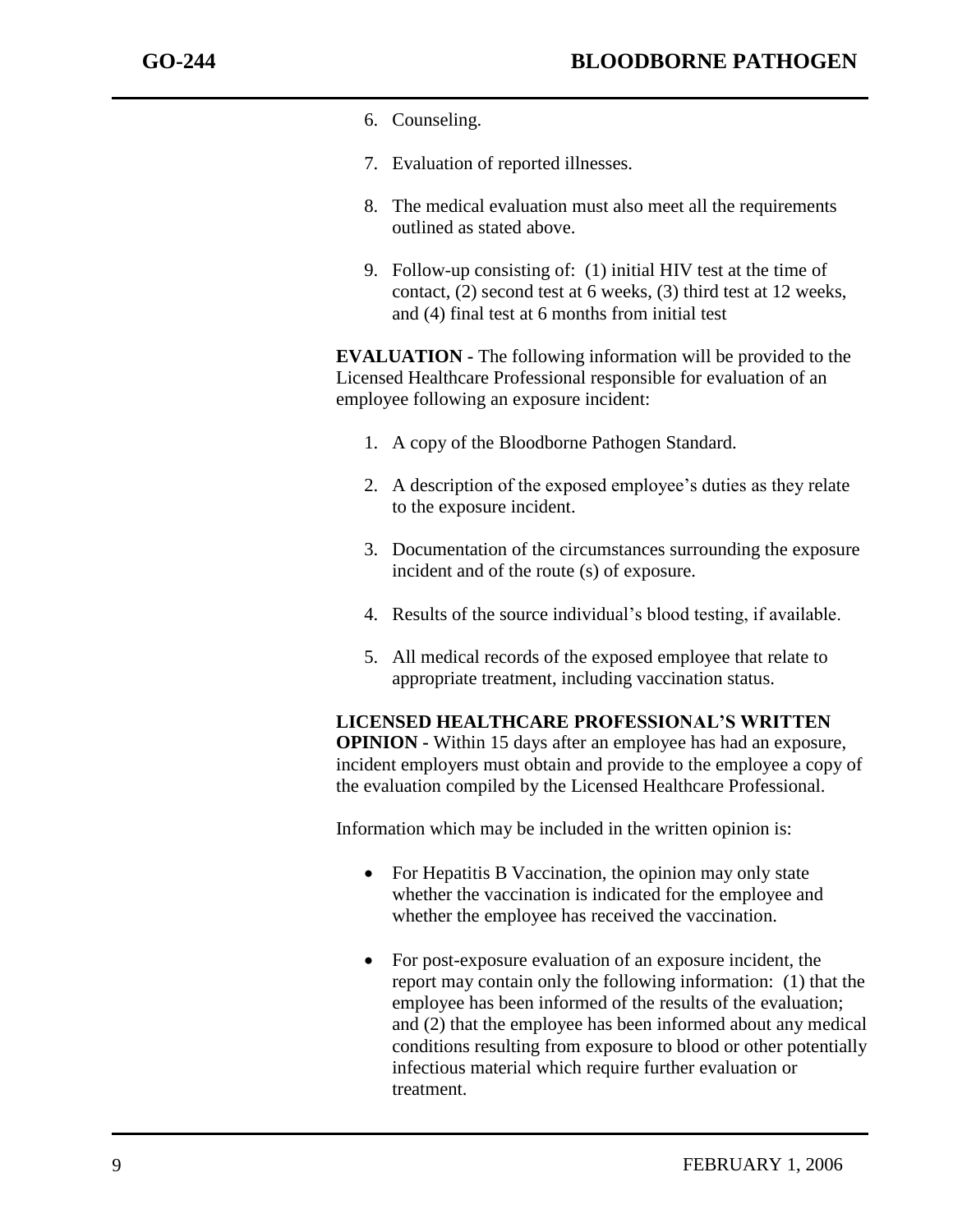- 6. Counseling.
- 7. Evaluation of reported illnesses.
- 8. The medical evaluation must also meet all the requirements outlined as stated above.
- 9. Follow-up consisting of: (1) initial HIV test at the time of contact, (2) second test at 6 weeks, (3) third test at 12 weeks, and (4) final test at 6 months from initial test

**EVALUATION -** The following information will be provided to the Licensed Healthcare Professional responsible for evaluation of an employee following an exposure incident:

- 1. A copy of the Bloodborne Pathogen Standard.
- 2. A description of the exposed employee's duties as they relate to the exposure incident.
- 3. Documentation of the circumstances surrounding the exposure incident and of the route (s) of exposure.
- 4. Results of the source individual's blood testing, if available.
- 5. All medical records of the exposed employee that relate to appropriate treatment, including vaccination status.

**LICENSED HEALTHCARE PROFESSIONAL'S WRITTEN OPINION -** Within 15 days after an employee has had an exposure, incident employers must obtain and provide to the employee a copy of the evaluation compiled by the Licensed Healthcare Professional.

Information which may be included in the written opinion is:

- For Hepatitis B Vaccination, the opinion may only state whether the vaccination is indicated for the employee and whether the employee has received the vaccination.
- For post-exposure evaluation of an exposure incident, the report may contain only the following information: (1) that the employee has been informed of the results of the evaluation; and (2) that the employee has been informed about any medical conditions resulting from exposure to blood or other potentially infectious material which require further evaluation or treatment.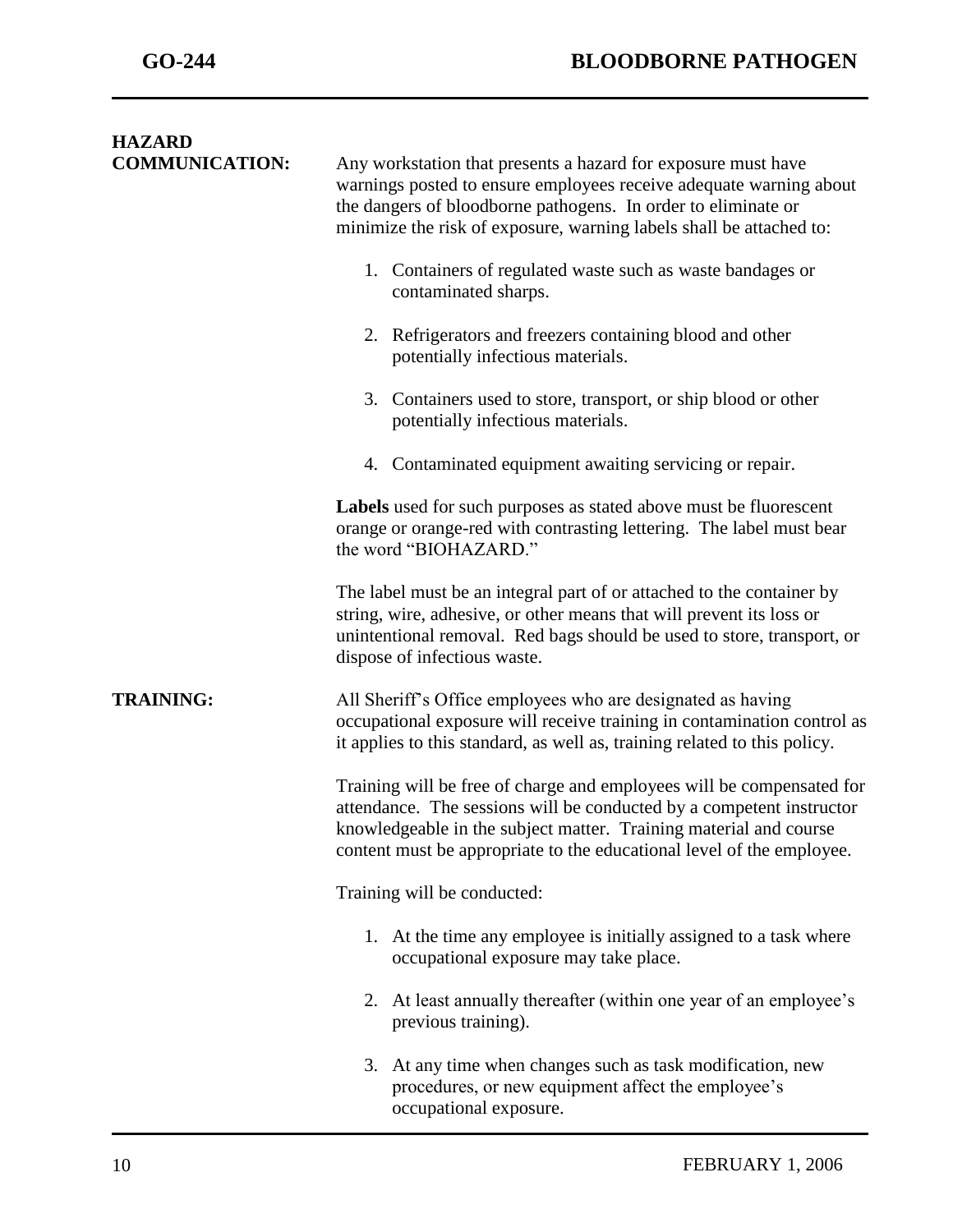| <b>HAZARD</b>         |                                                                                                                                                                                                                                                                                                                                                                                                                                                                                                                                                   |  |
|-----------------------|---------------------------------------------------------------------------------------------------------------------------------------------------------------------------------------------------------------------------------------------------------------------------------------------------------------------------------------------------------------------------------------------------------------------------------------------------------------------------------------------------------------------------------------------------|--|
| <b>COMMUNICATION:</b> | Any workstation that presents a hazard for exposure must have<br>warnings posted to ensure employees receive adequate warning about<br>the dangers of bloodborne pathogens. In order to eliminate or<br>minimize the risk of exposure, warning labels shall be attached to:                                                                                                                                                                                                                                                                       |  |
|                       | 1. Containers of regulated waste such as waste bandages or<br>contaminated sharps.                                                                                                                                                                                                                                                                                                                                                                                                                                                                |  |
|                       | 2. Refrigerators and freezers containing blood and other<br>potentially infectious materials.                                                                                                                                                                                                                                                                                                                                                                                                                                                     |  |
|                       | 3. Containers used to store, transport, or ship blood or other<br>potentially infectious materials.                                                                                                                                                                                                                                                                                                                                                                                                                                               |  |
|                       | 4. Contaminated equipment awaiting servicing or repair.                                                                                                                                                                                                                                                                                                                                                                                                                                                                                           |  |
|                       | Labels used for such purposes as stated above must be fluorescent<br>orange or orange-red with contrasting lettering. The label must bear<br>the word "BIOHAZARD."                                                                                                                                                                                                                                                                                                                                                                                |  |
|                       | The label must be an integral part of or attached to the container by<br>string, wire, adhesive, or other means that will prevent its loss or<br>unintentional removal. Red bags should be used to store, transport, or<br>dispose of infectious waste.                                                                                                                                                                                                                                                                                           |  |
| <b>TRAINING:</b>      | All Sheriff's Office employees who are designated as having<br>occupational exposure will receive training in contamination control as<br>it applies to this standard, as well as, training related to this policy.<br>Training will be free of charge and employees will be compensated for<br>attendance. The sessions will be conducted by a competent instructor<br>knowledgeable in the subject matter. Training material and course<br>content must be appropriate to the educational level of the employee.<br>Training will be conducted: |  |
|                       |                                                                                                                                                                                                                                                                                                                                                                                                                                                                                                                                                   |  |
|                       |                                                                                                                                                                                                                                                                                                                                                                                                                                                                                                                                                   |  |
|                       | 1. At the time any employee is initially assigned to a task where<br>occupational exposure may take place.                                                                                                                                                                                                                                                                                                                                                                                                                                        |  |
|                       | 2. At least annually thereafter (within one year of an employee's<br>previous training).                                                                                                                                                                                                                                                                                                                                                                                                                                                          |  |
|                       | 3. At any time when changes such as task modification, new<br>procedures, or new equipment affect the employee's<br>occupational exposure.                                                                                                                                                                                                                                                                                                                                                                                                        |  |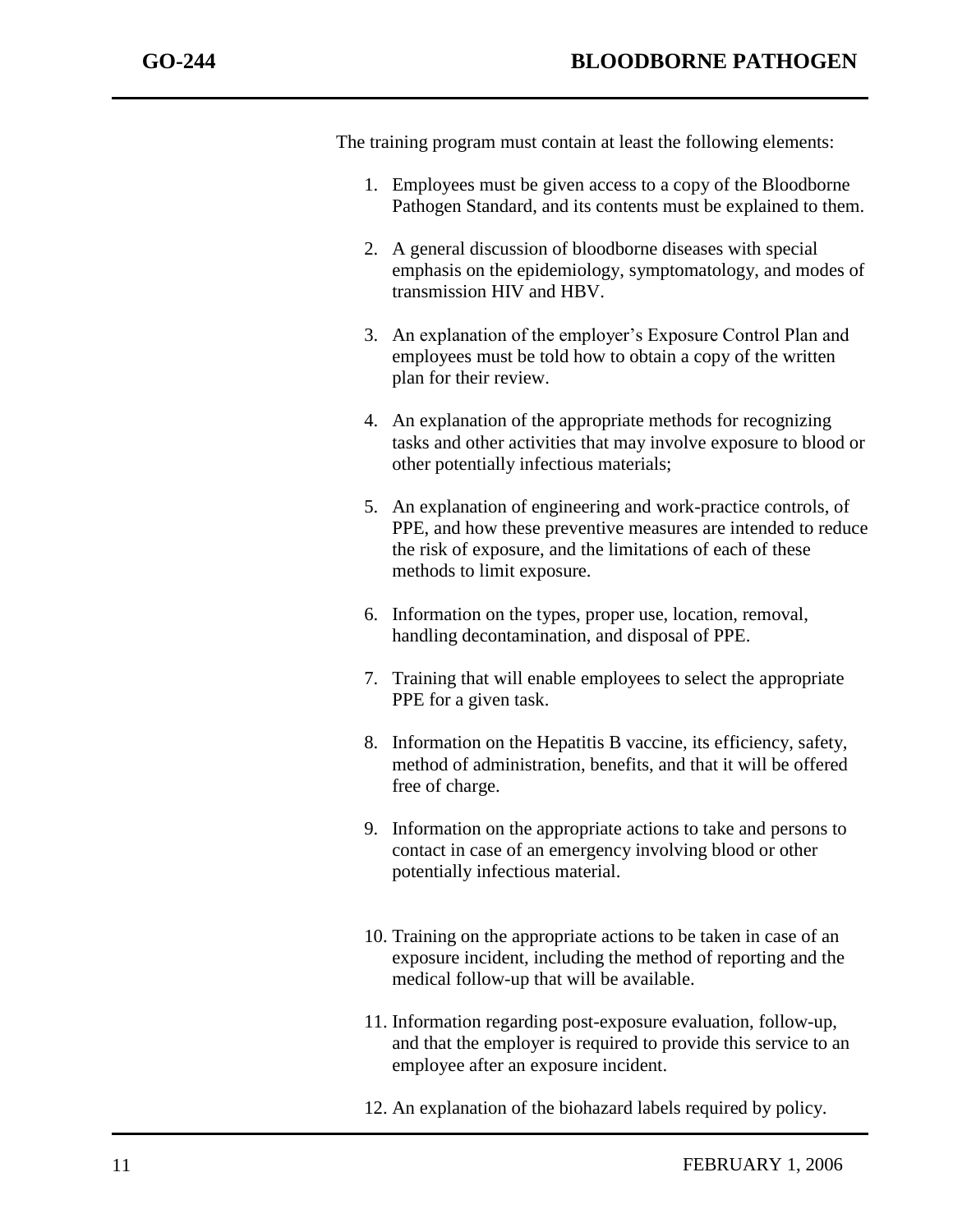The training program must contain at least the following elements:

- 1. Employees must be given access to a copy of the Bloodborne Pathogen Standard, and its contents must be explained to them.
- 2. A general discussion of bloodborne diseases with special emphasis on the epidemiology, symptomatology, and modes of transmission HIV and HBV.
- 3. An explanation of the employer's Exposure Control Plan and employees must be told how to obtain a copy of the written plan for their review.
- 4. An explanation of the appropriate methods for recognizing tasks and other activities that may involve exposure to blood or other potentially infectious materials;
- 5. An explanation of engineering and work-practice controls, of PPE, and how these preventive measures are intended to reduce the risk of exposure, and the limitations of each of these methods to limit exposure.
- 6. Information on the types, proper use, location, removal, handling decontamination, and disposal of PPE.
- 7. Training that will enable employees to select the appropriate PPE for a given task.
- 8. Information on the Hepatitis B vaccine, its efficiency, safety, method of administration, benefits, and that it will be offered free of charge.
- 9. Information on the appropriate actions to take and persons to contact in case of an emergency involving blood or other potentially infectious material.
- 10. Training on the appropriate actions to be taken in case of an exposure incident, including the method of reporting and the medical follow-up that will be available.
- 11. Information regarding post-exposure evaluation, follow-up, and that the employer is required to provide this service to an employee after an exposure incident.
- 12. An explanation of the biohazard labels required by policy.